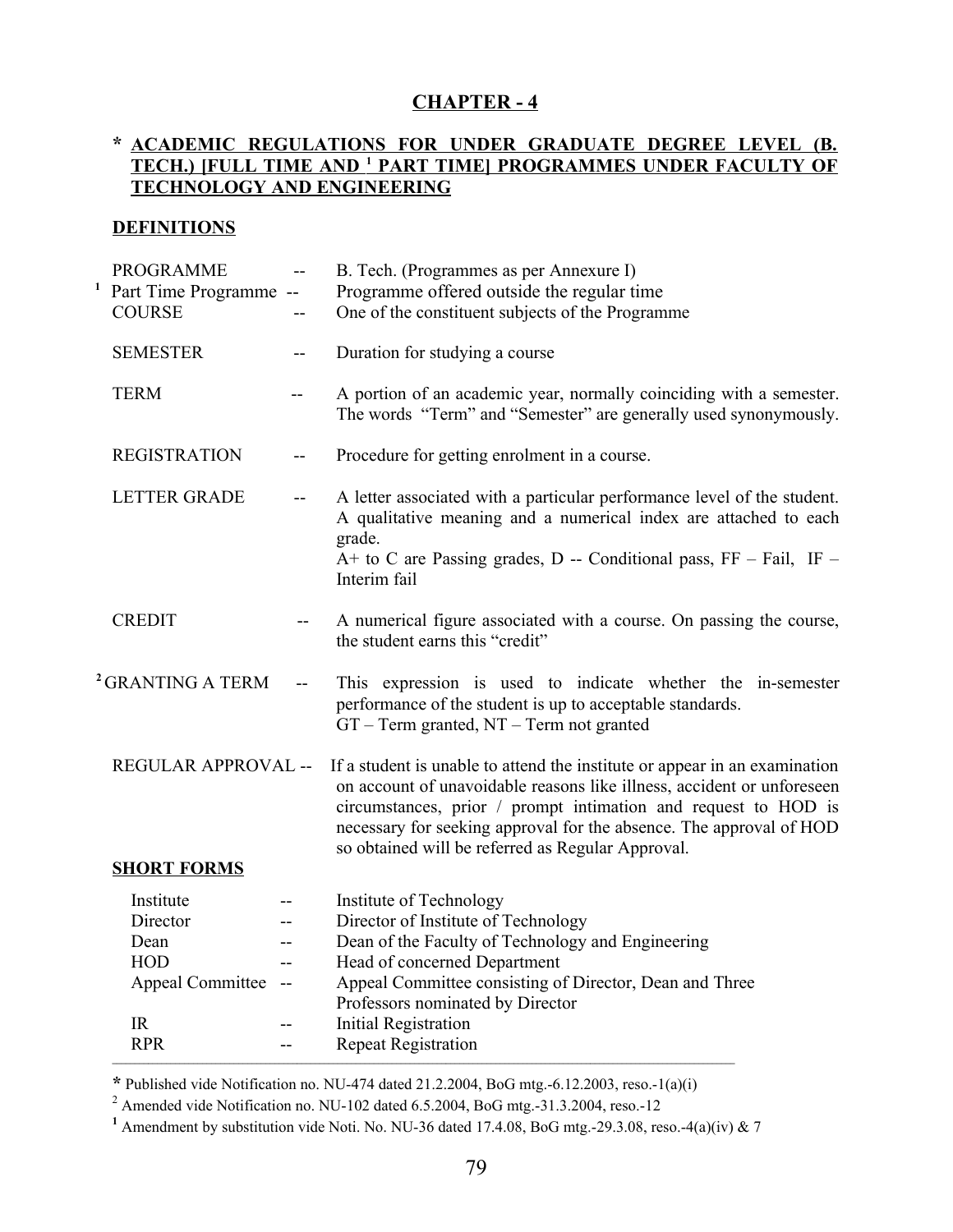# **CHAPTER - 4**

### **\* ACADEMIC REGULATIONS FOR UNDER GRADUATE DEGREE LEVEL (B. TECH.) [FULL TIME AND <sup>1</sup> PART TIME] PROGRAMMES UNDER FACULTY OF TECHNOLOGY AND ENGINEERING**

### **DEFINITIONS**

| <b>PROGRAMME</b><br><b>COURSE</b>                                                                 |                          | B. Tech. (Programmes as per Annexure I)<br>Programme offered outside the regular time<br>One of the constituent subjects of the Programme                                                                                                                                                                                                          |
|---------------------------------------------------------------------------------------------------|--------------------------|----------------------------------------------------------------------------------------------------------------------------------------------------------------------------------------------------------------------------------------------------------------------------------------------------------------------------------------------------|
| <b>SEMESTER</b>                                                                                   | $--$                     | Duration for studying a course                                                                                                                                                                                                                                                                                                                     |
| <b>TERM</b>                                                                                       | --                       | A portion of an academic year, normally coinciding with a semester.<br>The words "Term" and "Semester" are generally used synonymously.                                                                                                                                                                                                            |
| <b>REGISTRATION</b>                                                                               | --                       | Procedure for getting enrolment in a course.                                                                                                                                                                                                                                                                                                       |
| <b>LETTER GRADE</b>                                                                               | $- -$                    | A letter associated with a particular performance level of the student.<br>A qualitative meaning and a numerical index are attached to each<br>grade.<br>$A+$ to C are Passing grades, D -- Conditional pass, FF - Fail, IF -<br>Interim fail                                                                                                      |
| <b>CREDIT</b>                                                                                     | $-$                      | A numerical figure associated with a course. On passing the course,<br>the student earns this "credit"                                                                                                                                                                                                                                             |
| <sup>2</sup> GRANTING A TERM                                                                      | $\overline{\phantom{a}}$ | This expression is used to indicate whether the in-semester<br>performance of the student is up to acceptable standards.<br>$GT - Term$ granted, $NT - Term$ not granted                                                                                                                                                                           |
|                                                                                                   |                          | If a student is unable to attend the institute or appear in an examination<br>on account of unavoidable reasons like illness, accident or unforeseen<br>circumstances, prior / prompt intimation and request to HOD is<br>necessary for seeking approval for the absence. The approval of HOD<br>so obtained will be referred as Regular Approval. |
| Institute<br>Director<br>Dean<br><b>HOD</b><br><b>Appeal Committee</b><br><b>IR</b><br><b>RPR</b> | $ \hbox{--}$             | Institute of Technology<br>Director of Institute of Technology<br>Dean of the Faculty of Technology and Engineering<br>Head of concerned Department<br>Appeal Committee consisting of Director, Dean and Three<br>Professors nominated by Director<br><b>Initial Registration</b><br><b>Repeat Registration</b>                                    |
|                                                                                                   | <b>SHORT FORMS</b>       | <sup>1</sup> Part Time Programme --<br>REGULAR APPROVAL --                                                                                                                                                                                                                                                                                         |

**\*** Published vide Notification no. NU-474 dated 21.2.2004, BoG mtg.-6.12.2003, reso.-1(a)(i)

<sup>2</sup> Amended vide Notification no. NU-102 dated 6.5.2004, BoG mtg.-31.3.2004, reso.-12

**<sup>1</sup>** Amendment by substitution vide Noti. No. NU-36 dated 17.4.08, BoG mtg.-29.3.08, reso.-4(a)(iv) & 7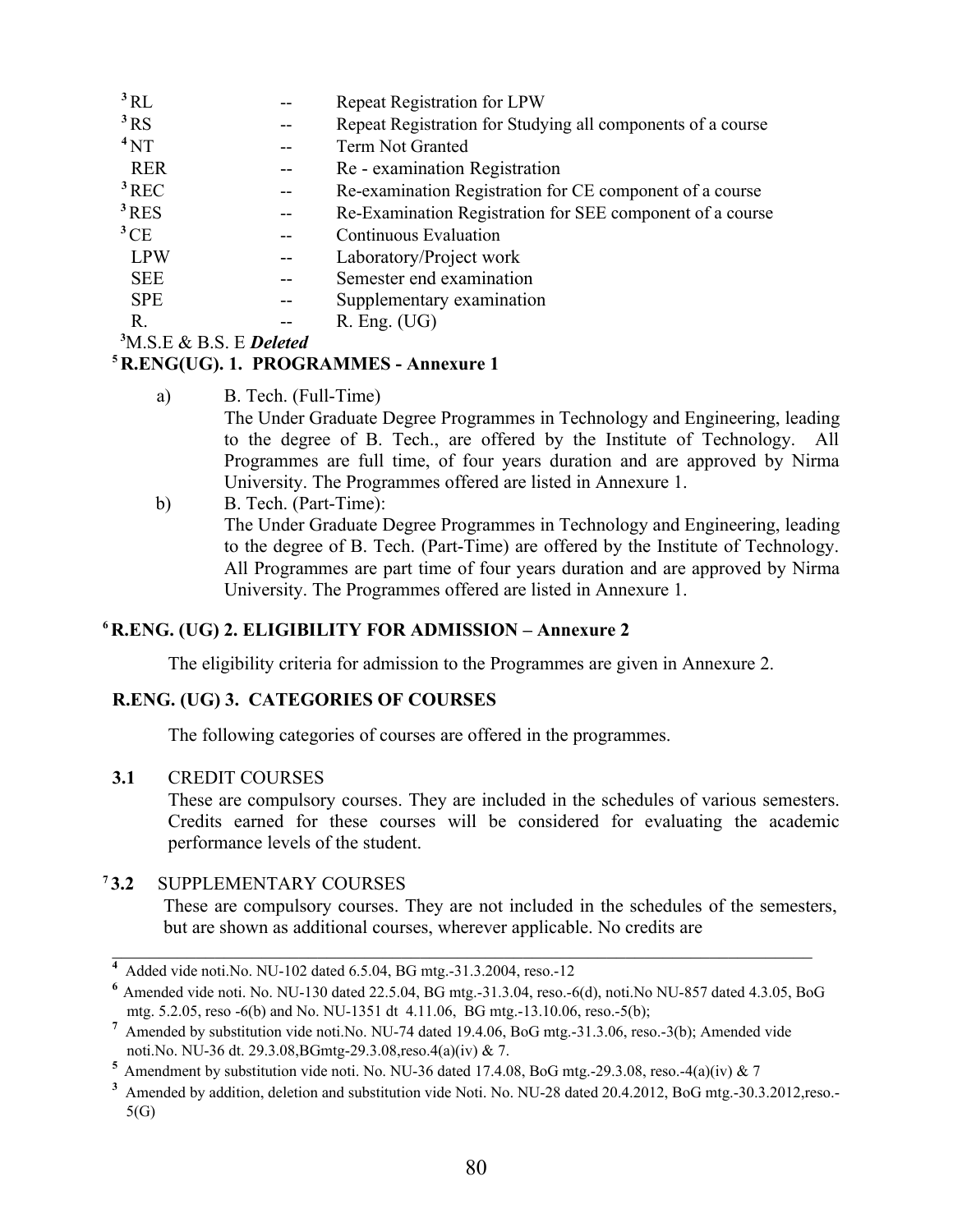| Repeat Registration for LPW                                 |
|-------------------------------------------------------------|
| Repeat Registration for Studying all components of a course |
| Term Not Granted                                            |
| Re - examination Registration                               |
| Re-examination Registration for CE component of a course    |
| Re-Examination Registration for SEE component of a course   |
| <b>Continuous Evaluation</b>                                |
| Laboratory/Project work                                     |
| Semester end examination                                    |
| Supplementary examination                                   |
| $R.$ Eng. $(UG)$                                            |
|                                                             |

**<sup>3</sup>**M.S.E & B.S. E *Deleted*

### **<sup>5</sup> R.ENG(UG). 1. PROGRAMMES - Annexure 1**

a) B. Tech. (Full-Time)

The Under Graduate Degree Programmes in Technology and Engineering, leading to the degree of B. Tech., are offered by the Institute of Technology. All Programmes are full time, of four years duration and are approved by Nirma University. The Programmes offered are listed in Annexure 1.

b) B. Tech. (Part-Time): The Under Graduate Degree Programmes in Technology and Engineering, leading to the degree of B. Tech. (Part-Time) are offered by the Institute of Technology. All Programmes are part time of four years duration and are approved by Nirma University. The Programmes offered are listed in Annexure 1.

# **<sup>6</sup>R.ENG. (UG) 2. ELIGIBILITY FOR ADMISSION – Annexure 2**

The eligibility criteria for admission to the Programmes are given in Annexure 2.

### **R.ENG. (UG) 3. CATEGORIES OF COURSES**

The following categories of courses are offered in the programmes.

### **3.1** CREDIT COURSES

These are compulsory courses. They are included in the schedules of various semesters. Credits earned for these courses will be considered for evaluating the academic performance levels of the student.

# **<sup>7</sup>3.2** SUPPLEMENTARY COURSES

These are compulsory courses. They are not included in the schedules of the semesters, but are shown as additional courses, wherever applicable. No credits are

**<sup>4</sup>** Added vide noti.No. NU-102 dated 6.5.04, BG mtg.-31.3.2004, reso.-12

 $^6$  Amended vide noti. No. NU-130 dated 22.5.04, BG mtg.-31.3.04, reso.-6(d), noti.No NU-857 dated 4.3.05, BoG mtg. 5.2.05, reso -6(b) and No. NU-1351 dt 4.11.06, BG mtg.-13.10.06, reso.-5(b);

<sup>&</sup>lt;sup>7</sup> Amended by substitution vide noti.No. NU-74 dated 19.4.06, BoG mtg.-31.3.06, reso.-3(b); Amended vide noti.No. NU-36 dt. 29.3.08,BGmtg-29.3.08,reso.4(a)(iv) & 7.

**<sup>5</sup>**Amendment by substitution vide noti. No. NU-36 dated 17.4.08, BoG mtg.-29.3.08, reso.-4(a)(iv) & 7

<sup>&</sup>lt;sup>3</sup> Amended by addition, deletion and substitution vide Noti. No. NU-28 dated 20.4.2012, BoG mtg.-30.3.2012,reso.-5(G)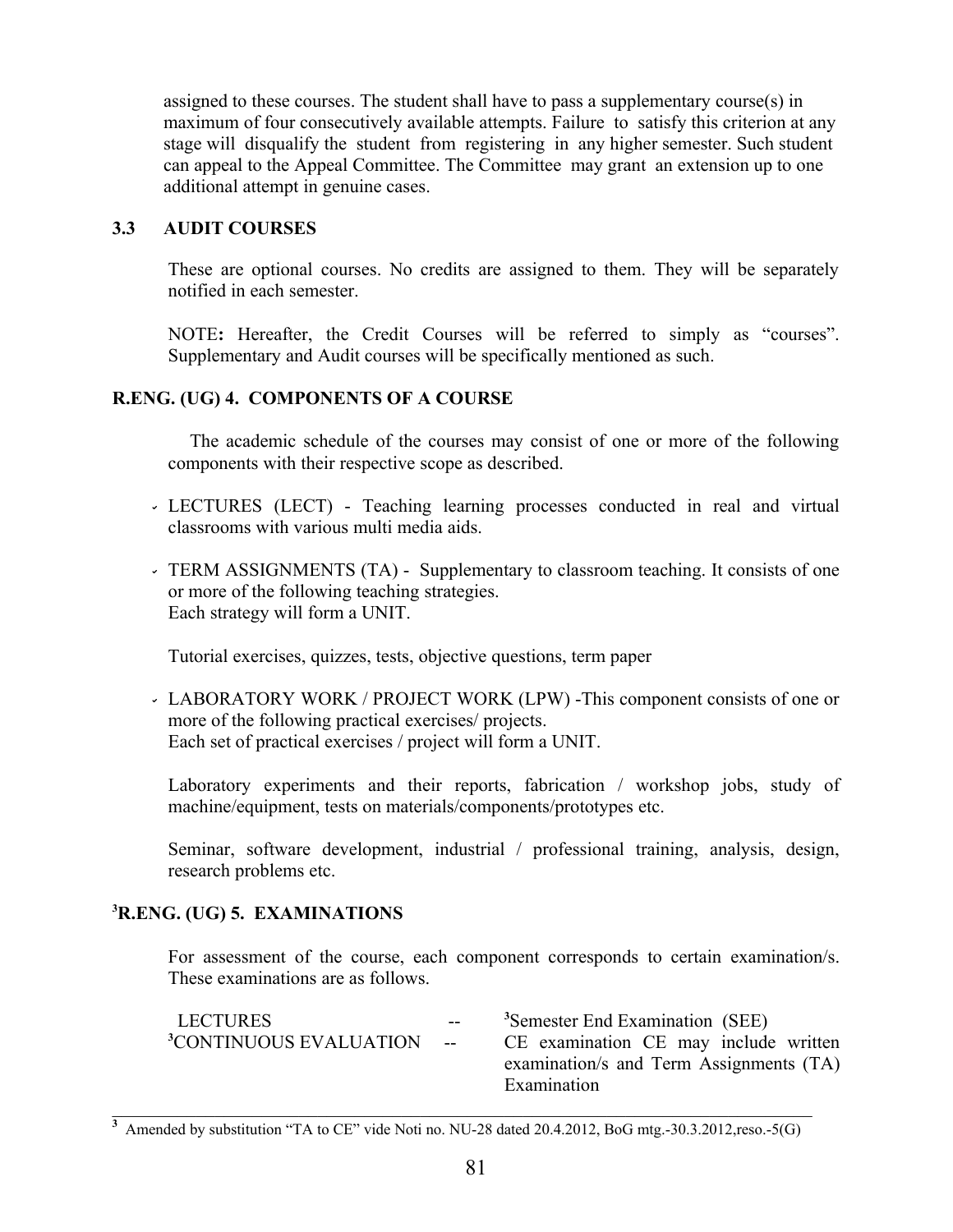assigned to these courses. The student shall have to pass a supplementary course $(s)$  in maximum of four consecutively available attempts. Failure to satisfy this criterion at any stage will disqualify the student from registering in any higher semester. Such student can appeal to the Appeal Committee. The Committee may grant an extension up to one additional attempt in genuine cases.

### **3.3 AUDIT COURSES**

These are optional courses. No credits are assigned to them. They will be separately notified in each semester.

NOTE**:** Hereafter, the Credit Courses will be referred to simply as "courses". Supplementary and Audit courses will be specifically mentioned as such.

### **R.ENG. (UG) 4. COMPONENTS OF A COURSE**

 The academic schedule of the courses may consist of one or more of the following components with their respective scope as described.

- LECTURES (LECT) Teaching learning processes conducted in real and virtual classrooms with various multi media aids.
- TERM ASSIGNMENTS (TA) Supplementary to classroom teaching. It consists of one or more of the following teaching strategies. Each strategy will form a UNIT.

Tutorial exercises, quizzes, tests, objective questions, term paper

 LABORATORY WORK / PROJECT WORK (LPW) -This component consists of one or more of the following practical exercises/ projects. Each set of practical exercises / project will form a UNIT.

Laboratory experiments and their reports, fabrication / workshop jobs, study of machine/equipment, tests on materials/components/prototypes etc.

Seminar, software development, industrial / professional training, analysis, design, research problems etc.

### **<sup>3</sup>R.ENG. (UG) 5. EXAMINATIONS**

For assessment of the course, each component corresponds to certain examination/s. These examinations are as follows.

| $ -$                                  | <sup>3</sup> Semester End Examination (SEE) |
|---------------------------------------|---------------------------------------------|
| <sup>3</sup> CONTINUOUS EVALUATION -- | CE examination CE may include written       |
|                                       | examination/s and Term Assignments (TA)     |
|                                       | Examination                                 |
|                                       |                                             |

<sup>&</sup>lt;sup>3</sup> Amended by substitution "TA to CE" vide Noti no. NU-28 dated 20.4.2012, BoG mtg.-30.3.2012,reso.-5(G)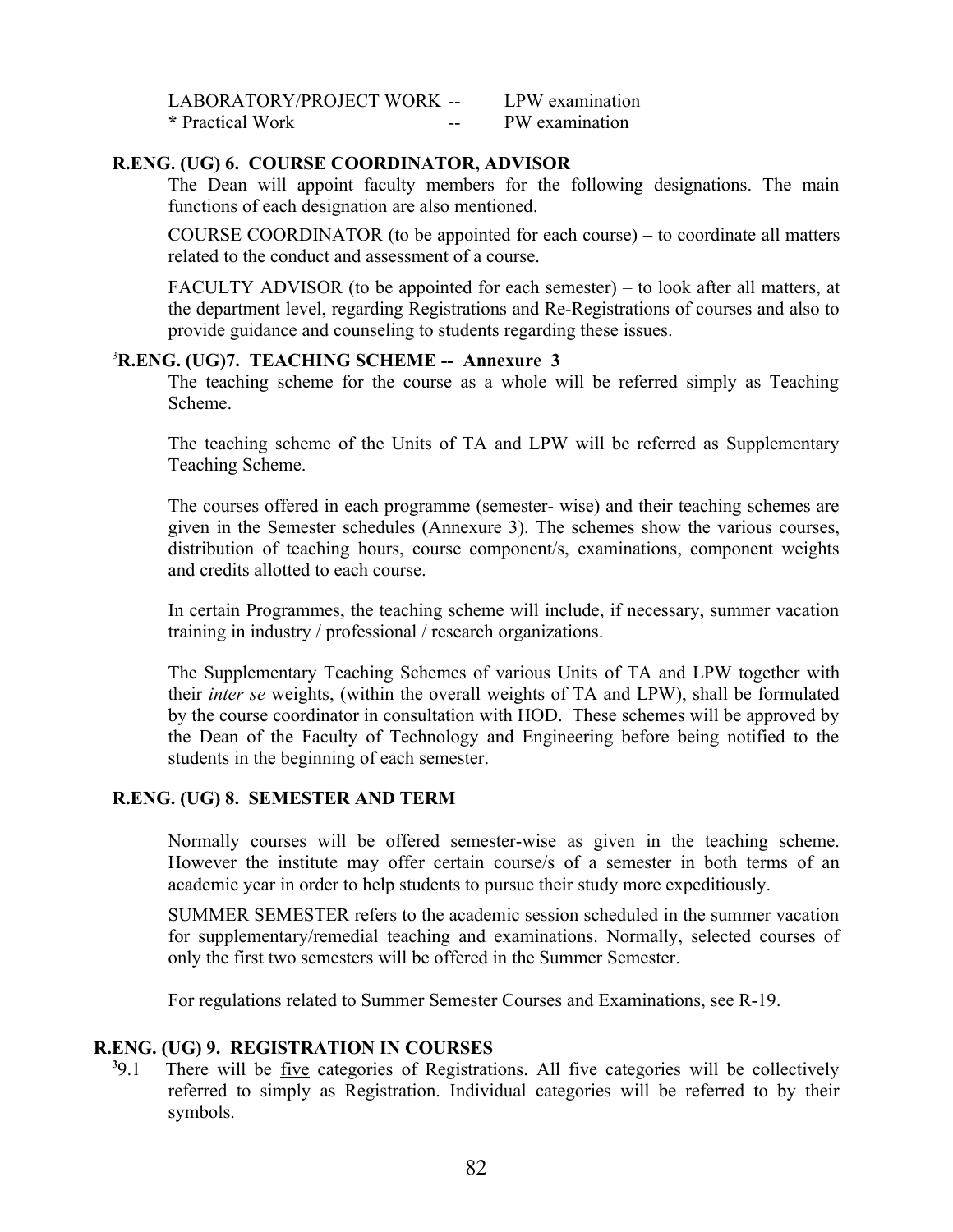| LABORATORY/PROJECT WORK -- |    | LPW examination |
|----------------------------|----|-----------------|
| * Practical Work           | -- | PW examination  |

#### **R.ENG. (UG) 6. COURSE COORDINATOR, ADVISOR**

The Dean will appoint faculty members for the following designations. The main functions of each designation are also mentioned.

COURSE COORDINATOR (to be appointed for each course) **–** to coordinate all matters related to the conduct and assessment of a course.

FACULTY ADVISOR (to be appointed for each semester) – to look after all matters, at the department level, regarding Registrations and Re-Registrations of courses and also to provide guidance and counseling to students regarding these issues.

#### <sup>3</sup>**R.ENG. (UG)7. TEACHING SCHEME -- Annexure 3**

The teaching scheme for the course as a whole will be referred simply as Teaching Scheme.

The teaching scheme of the Units of TA and LPW will be referred as Supplementary Teaching Scheme.

The courses offered in each programme (semester- wise) and their teaching schemes are given in the Semester schedules (Annexure 3). The schemes show the various courses, distribution of teaching hours, course component/s, examinations, component weights and credits allotted to each course.

In certain Programmes, the teaching scheme will include, if necessary, summer vacation training in industry / professional / research organizations.

The Supplementary Teaching Schemes of various Units of TA and LPW together with their *inter se* weights, (within the overall weights of TA and LPW), shall be formulated by the course coordinator in consultation with HOD. These schemes will be approved by the Dean of the Faculty of Technology and Engineering before being notified to the students in the beginning of each semester.

#### **R.ENG. (UG) 8. SEMESTER AND TERM**

Normally courses will be offered semester-wise as given in the teaching scheme. However the institute may offer certain course/s of a semester in both terms of an academic year in order to help students to pursue their study more expeditiously.

SUMMER SEMESTER refers to the academic session scheduled in the summer vacation for supplementary/remedial teaching and examinations. Normally, selected courses of only the first two semesters will be offered in the Summer Semester.

For regulations related to Summer Semester Courses and Examinations, see R-19.

### **R.ENG. (UG) 9. REGISTRATION IN COURSES**

 $39.1$ There will be <u>five</u> categories of Registrations. All five categories will be collectively referred to simply as Registration. Individual categories will be referred to by their symbols.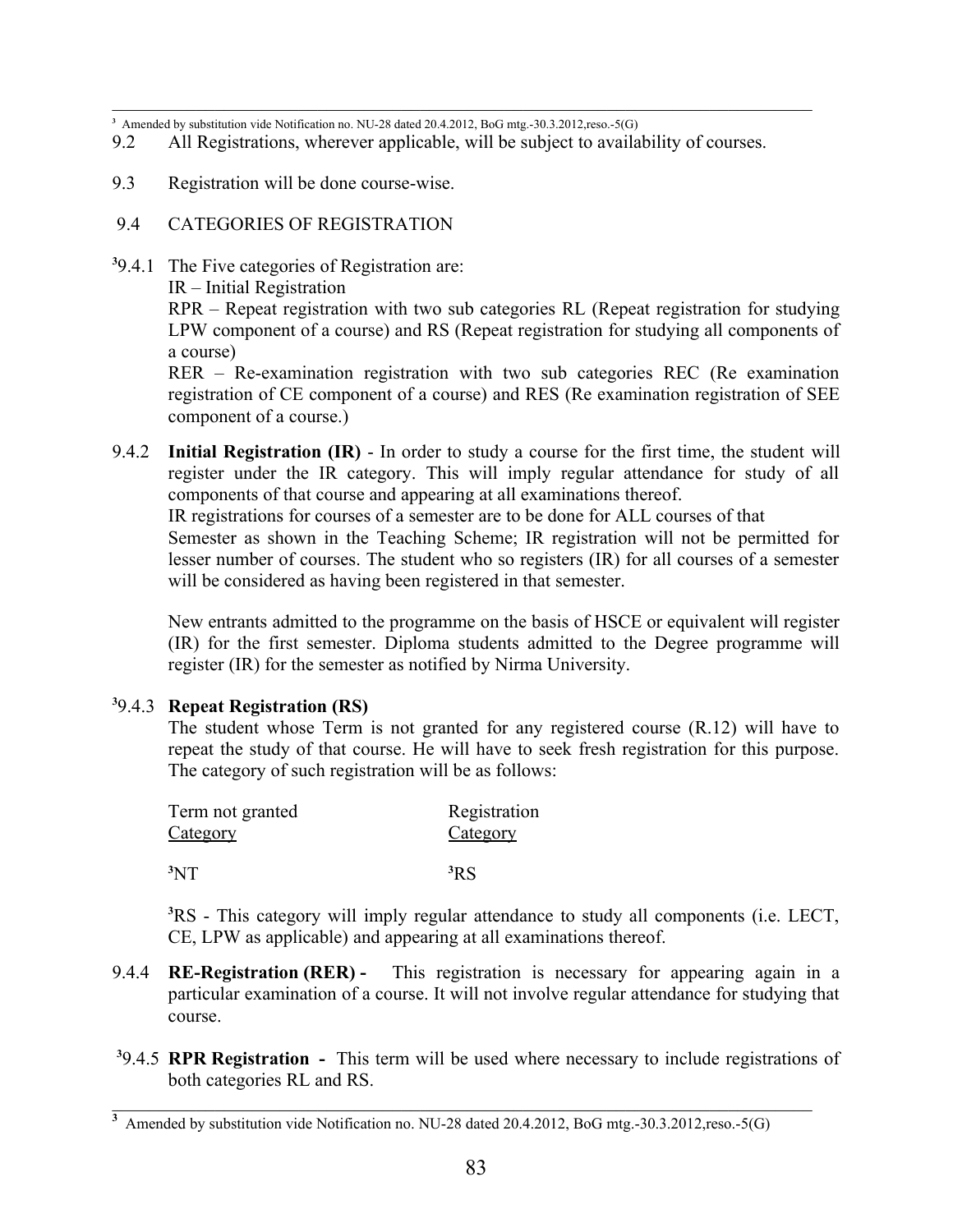**3** Amended by substitution vide Notification no. NU-28 dated 20.4.2012, BoG mtg.-30.3.2012,reso.-5(G)

- 9.2 All Registrations, wherever applicable, will be subject to availability of courses.
- 9.3 Registration will be done course-wise.
- 9.4 CATEGORIES OF REGISTRATION
- **3** 9.4.1 The Five categories of Registration are:

IR – Initial Registration

RPR – Repeat registration with two sub categories RL (Repeat registration for studying LPW component of a course) and RS (Repeat registration for studying all components of a course)

RER – Re-examination registration with two sub categories REC (Re examination registration of CE component of a course) and RES (Re examination registration of SEE component of a course.)

9.4.2 **Initial Registration (IR)** - In order to study a course for the first time, the student will register under the IR category. This will imply regular attendance for study of all components of that course and appearing at all examinations thereof.

IR registrations for courses of a semester are to be done for ALL courses of that Semester as shown in the Teaching Scheme; IR registration will not be permitted for lesser number of courses. The student who so registers (IR) for all courses of a semester will be considered as having been registered in that semester.

New entrants admitted to the programme on the basis of HSCE or equivalent will register (IR) for the first semester. Diploma students admitted to the Degree programme will register (IR) for the semester as notified by Nirma University.

### **3** 9.4.3 **Repeat Registration (RS)**

The student whose Term is not granted for any registered course (R.12) will have to repeat the study of that course. He will have to seek fresh registration for this purpose. The category of such registration will be as follows:

| Term not granted | Registration    |
|------------------|-----------------|
| Category         | <b>Category</b> |
| 3NT              | 3RS             |

**<sup>3</sup>**RS - This category will imply regular attendance to study all components (i.e. LECT, CE, LPW as applicable) and appearing at all examinations thereof.

- 9.4.4 **RE-Registration (RER) -** This registration is necessary for appearing again in a particular examination of a course. It will not involve regular attendance for studying that course.
- **3** 9.4.5 **RPR Registration -** This term will be used where necessary to include registrations of both categories RL and RS.

 $\mathcal{L}_\mathcal{L} = \mathcal{L}_\mathcal{L} = \mathcal{L}_\mathcal{L} = \mathcal{L}_\mathcal{L} = \mathcal{L}_\mathcal{L} = \mathcal{L}_\mathcal{L} = \mathcal{L}_\mathcal{L} = \mathcal{L}_\mathcal{L} = \mathcal{L}_\mathcal{L} = \mathcal{L}_\mathcal{L} = \mathcal{L}_\mathcal{L} = \mathcal{L}_\mathcal{L} = \mathcal{L}_\mathcal{L} = \mathcal{L}_\mathcal{L} = \mathcal{L}_\mathcal{L} = \mathcal{L}_\mathcal{L} = \mathcal{L}_\mathcal{L}$ 

<sup>&</sup>lt;sup>3</sup> Amended by substitution vide Notification no. NU-28 dated 20.4.2012, BoG mtg.-30.3.2012,reso.-5(G)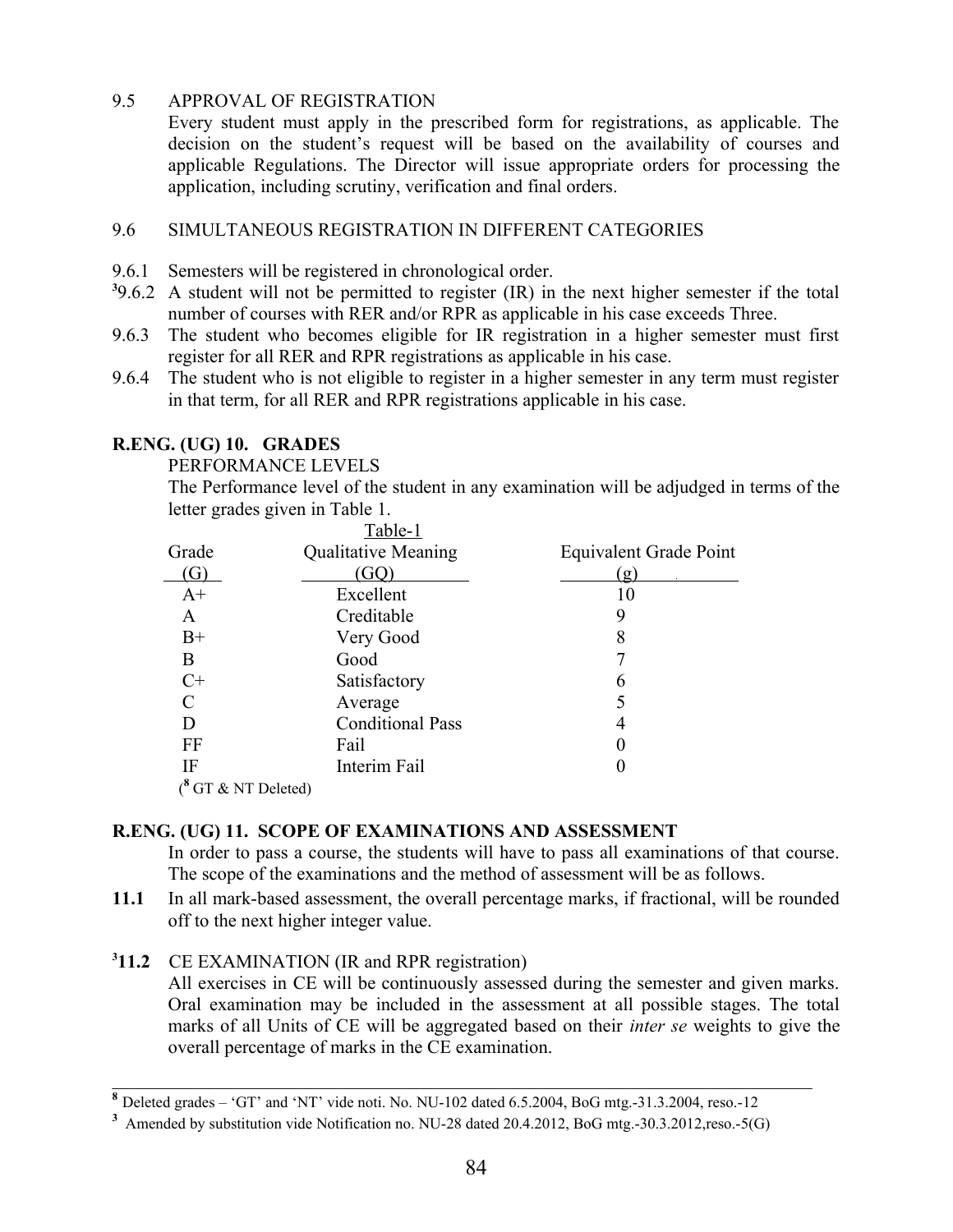### 9.5 APPROVAL OF REGISTRATION

Every student must apply in the prescribed form for registrations, as applicable. The decision on the student's request will be based on the availability of courses and applicable Regulations. The Director will issue appropriate orders for processing the application, including scrutiny, verification and final orders.

### 9.6 SIMULTANEOUS REGISTRATION IN DIFFERENT CATEGORIES

- 9.6.1 Semesters will be registered in chronological order.
- <sup>3</sup>9.6.2 A student will not be permitted to register (IR) in the next higher semester if the total number of courses with RER and/or RPR as applicable in his case exceeds Three.
- 9.6.3 The student who becomes eligible for IR registration in a higher semester must first register for all RER and RPR registrations as applicable in his case.
- 9.6.4 The student who is not eligible to register in a higher semester in any term must register in that term, for all RER and RPR registrations applicable in his case.

### **R.ENG. (UG) 10. GRADES**

PERFORMANCE LEVELS

The Performance level of the student in any examination will be adjudged in terms of the letter grades given in Table 1.

|                  | Table-1                    |                        |
|------------------|----------------------------|------------------------|
| Grade            | <b>Qualitative Meaning</b> | Equivalent Grade Point |
|                  |                            | $\mathbf{g}$           |
| $A+$             | Excellent                  | 10                     |
| A                | Creditable                 | 9                      |
| $B+$             | Very Good                  | 8                      |
| Β                | Good                       |                        |
| $C+$             | Satisfactory               | 6                      |
| C                | Average                    |                        |
| D                | <b>Conditional Pass</b>    | 4                      |
| FF               | Fail                       |                        |
| IF               | Interim Fail               |                        |
| GT & NT Deleted) |                            |                        |

### **R.ENG. (UG) 11. SCOPE OF EXAMINATIONS AND ASSESSMENT**

In order to pass a course, the students will have to pass all examinations of that course. The scope of the examinations and the method of assessment will be as follows.

**11.1** In all mark-based assessment, the overall percentage marks, if fractional, will be rounded off to the next higher integer value.

### **3 11.2** CE EXAMINATION (IR and RPR registration)

All exercises in CE will be continuously assessed during the semester and given marks. Oral examination may be included in the assessment at all possible stages. The total marks of all Units of CE will be aggregated based on their *inter se* weights to give the overall percentage of marks in the CE examination.

**<sup>8</sup>** Deleted grades – 'GT' and 'NT' vide noti. No. NU-102 dated 6.5.2004, BoG mtg.-31.3.2004, reso.-12

<sup>&</sup>lt;sup>3</sup> Amended by substitution vide Notification no. NU-28 dated 20.4.2012, BoG mtg.-30.3.2012,reso.-5(G)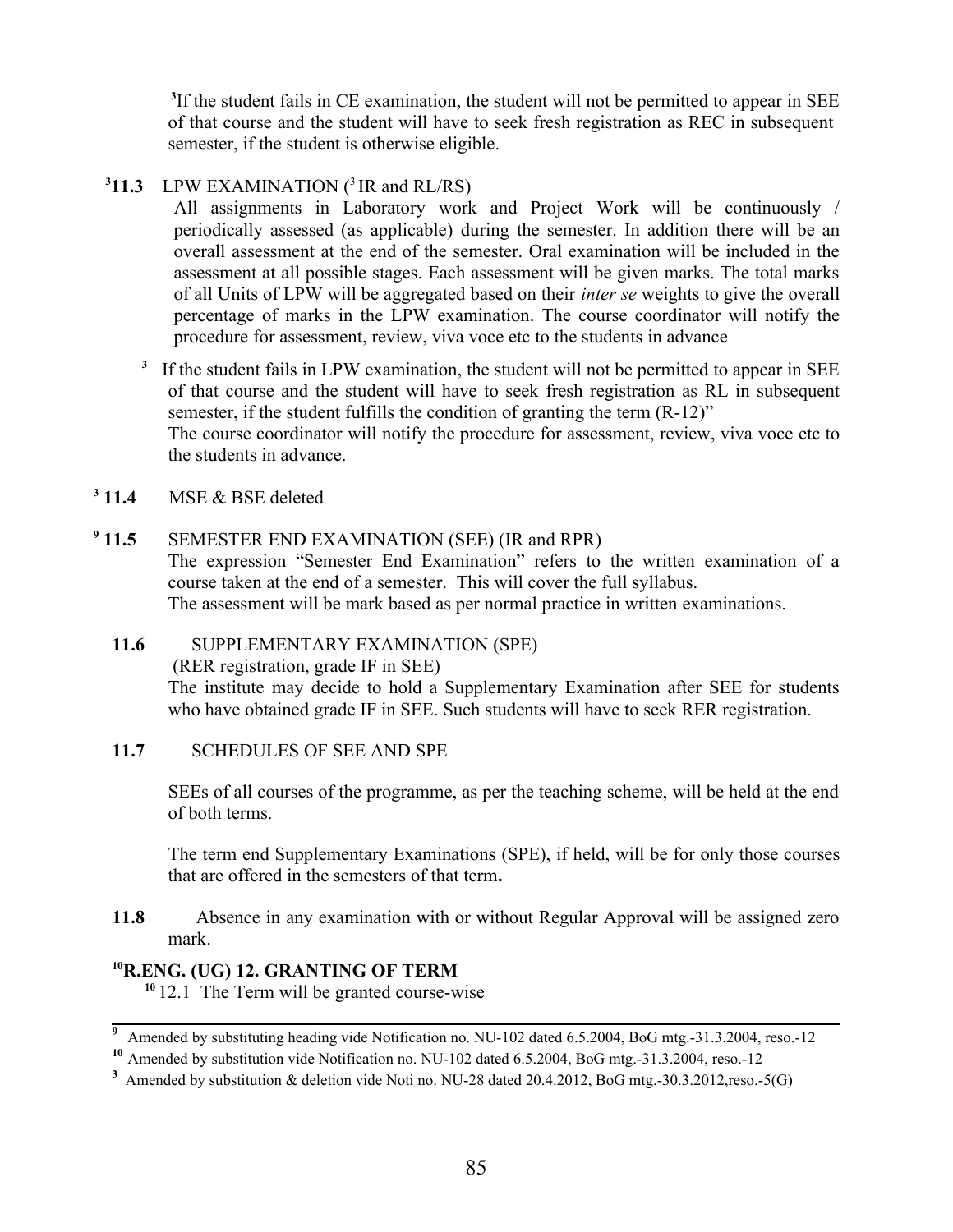<sup>3</sup>If the student fails in CE examination, the student will not be permitted to appear in SEE of that course and the student will have to seek fresh registration as REC in subsequent semester, if the student is otherwise eligible.

### **311.3** LPW EXAMINATION  $(^3$  IR and RL/RS)

All assignments in Laboratory work and Project Work will be continuously / periodically assessed (as applicable) during the semester. In addition there will be an overall assessment at the end of the semester. Oral examination will be included in the assessment at all possible stages. Each assessment will be given marks. The total marks of all Units of LPW will be aggregated based on their *inter se* weights to give the overall percentage of marks in the LPW examination. The course coordinator will notify the procedure for assessment, review, viva voce etc to the students in advance

<sup>3</sup> If the student fails in LPW examination, the student will not be permitted to appear in SEE of that course and the student will have to seek fresh registration as RL in subsequent semester, if the student fulfills the condition of granting the term (R-12)" The course coordinator will notify the procedure for assessment, review, viva voce etc to the students in advance.

 $3$  11.4 **MSE & BSE deleted** 

#### $9$  11.5 **SEMESTER END EXAMINATION (SEE) (IR and RPR)**

The expression "Semester End Examination" refers to the written examination of a course taken at the end of a semester. This will cover the full syllabus. The assessment will be mark based as per normal practice in written examinations.

### **11.6** SUPPLEMENTARY EXAMINATION (SPE)

(RER registration, grade IF in SEE)

The institute may decide to hold a Supplementary Examination after SEE for students who have obtained grade IF in SEE. Such students will have to seek RER registration.

### 11.7 SCHEDULES OF SEE AND SPE

SEEs of all courses of the programme, as per the teaching scheme, will be held at the end of both terms.

The term end Supplementary Examinations (SPE), if held, will be for only those courses that are offered in the semesters of that term**.**

**11.8** Absence in any examination with or without Regular Approval will be assigned zero mark.

### **<sup>10</sup>R.ENG. (UG) 12. GRANTING OF TERM**

**<sup>10</sup>**12.1 The Term will be granted course-wise

<sup>&</sup>lt;sup>9</sup> Amended by substituting heading vide Notification no. NU-102 dated 6.5.2004, BoG mtg.-31.3.2004, reso.-12

**<sup>10</sup>** Amended by substitution vide Notification no. NU-102 dated 6.5.2004, BoG mtg.-31.3.2004, reso.-12

<sup>&</sup>lt;sup>3</sup> Amended by substitution & deletion vide Noti no. NU-28 dated 20.4.2012, BoG mtg.-30.3.2012,reso.-5(G)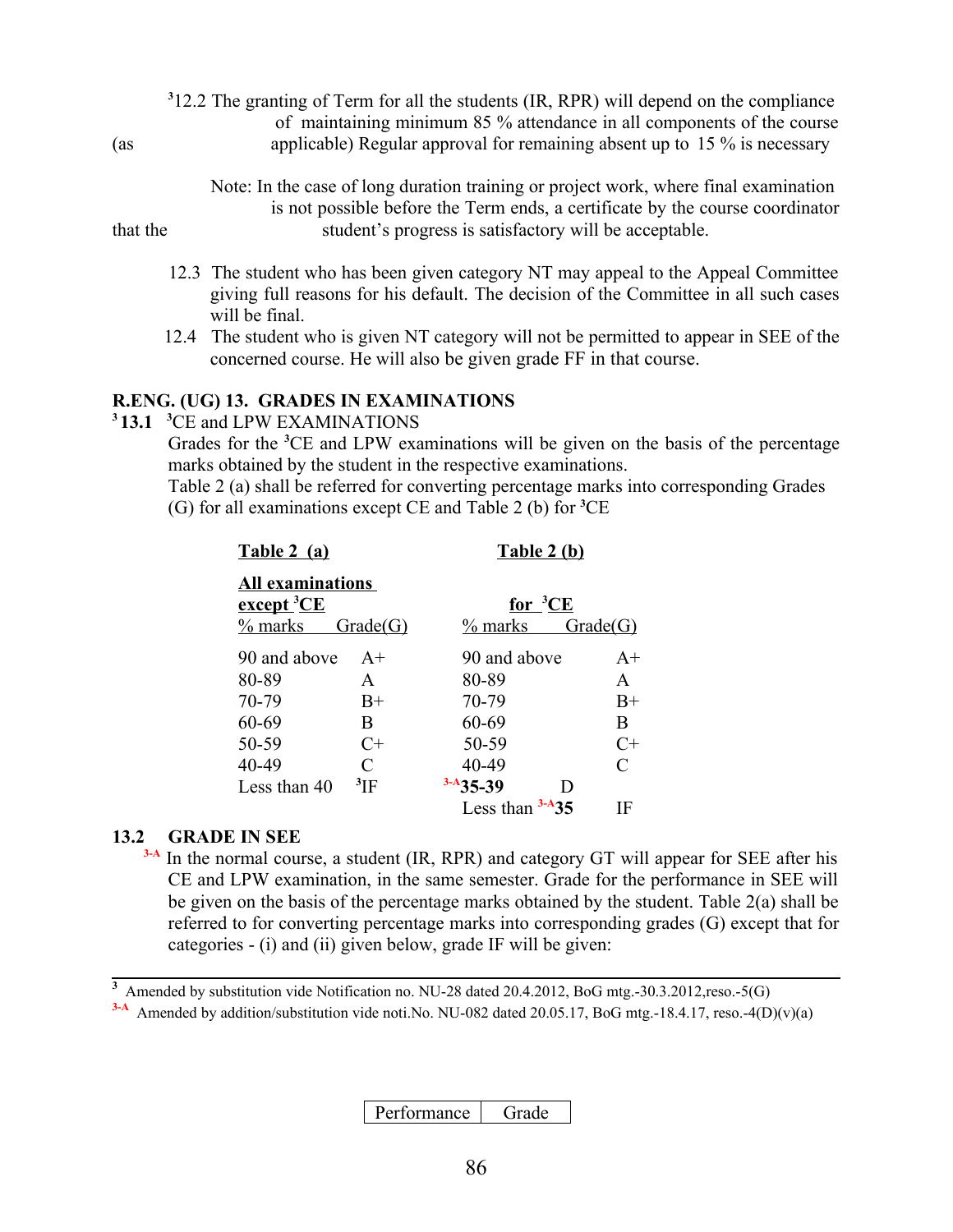|     | $312.2$ The granting of Term for all the students (IR, RPR) will depend on the compliance |
|-----|-------------------------------------------------------------------------------------------|
|     | of maintaining minimum 85 % attendance in all components of the course                    |
| (as | applicable) Regular approval for remaining absent up to 15 % is necessary                 |

 Note: In the case of long duration training or project work, where final examination is not possible before the Term ends, a certificate by the course coordinator that the student's progress is satisfactory will be acceptable.

- 12.3 The student who has been given category NT may appeal to the Appeal Committee giving full reasons for his default. The decision of the Committee in all such cases will be final.
- 12.4 The student who is given NT category will not be permitted to appear in SEE of the concerned course. He will also be given grade FF in that course.

#### **R.ENG. (UG) 13. GRADES IN EXAMINATIONS**

**<sup>3</sup>13.1 <sup>3</sup>**CE and LPW EXAMINATIONS

Grades for the **<sup>3</sup>**CE and LPW examinations will be given on the basis of the percentage marks obtained by the student in the respective examinations.

Table 2 (a) shall be referred for converting percentage marks into corresponding Grades (G) for all examinations except CE and Table 2 (b) for **<sup>3</sup>**CE

| $1401V = 141$                                                                  |               | $1401C = U$                         |                             |
|--------------------------------------------------------------------------------|---------------|-------------------------------------|-----------------------------|
| <b>All examinations</b><br>$\frac{\text{except}^3 \text{CE}}{2}$<br>$\%$ marks | Grade(G)      | for ${}^{3}\text{CE}$<br>$\%$ marks | Grade(G)                    |
| 90 and above                                                                   | $A+$          | 90 and above                        | $A+$                        |
| 80-89                                                                          | A             | 80-89                               | A                           |
| 70-79                                                                          | $B+$          | 70-79                               | $B+$                        |
| 60-69                                                                          | B             | 60-69                               | B                           |
| 50-59                                                                          | $C+$          | 50-59                               | $C+$                        |
| 40-49                                                                          | C             | 40-49                               | $\mathcal{C}_{\mathcal{C}}$ |
| Less than 40                                                                   | $\rm{^{3}IF}$ | $3-A35-39$<br>D                     |                             |
|                                                                                |               | $3-A35$<br>Less than                | ΙF                          |

**Table 2 (a) Table 2 (b)**

#### **13.2 GRADE IN SEE**

<sup>3-A</sup> In the normal course, a student (IR, RPR) and category GT will appear for SEE after his CE and LPW examination, in the same semester. Grade for the performance in SEE will be given on the basis of the percentage marks obtained by the student. Table 2(a) shall be referred to for converting percentage marks into corresponding grades (G) except that for categories - (i) and (ii) given below, grade IF will be given:

<sup>3</sup> Amended by substitution vide Notification no. NU-28 dated 20.4.2012, BoG mtg.-30.3.2012,reso.-5(G)

 $3-A$  Amended by addition/substitution vide noti.No. NU-082 dated 20.05.17, BoG mtg.-18.4.17, reso.-4(D)(v)(a)

Performance Grade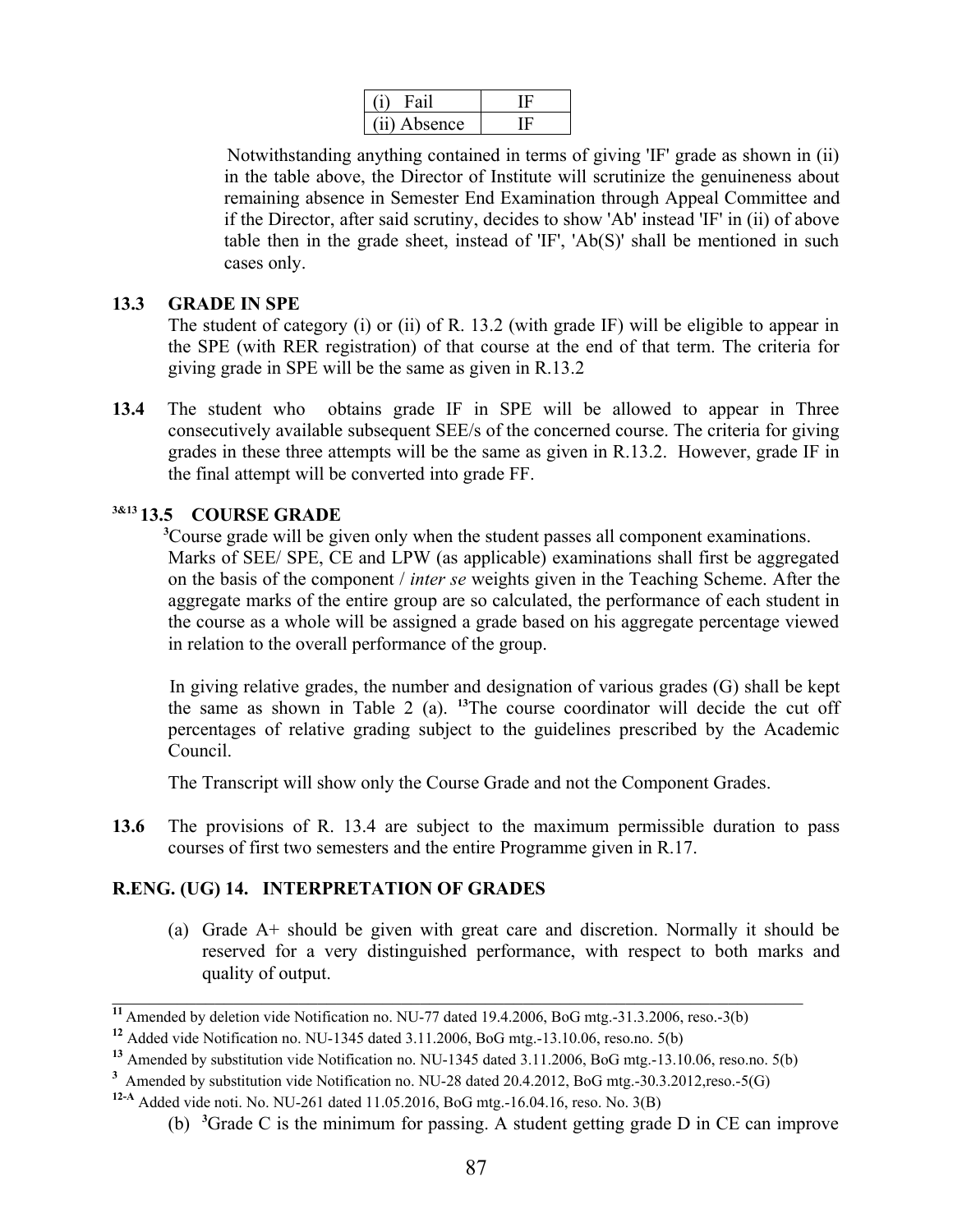| (11) Absence |  |
|--------------|--|

Notwithstanding anything contained in terms of giving 'IF' grade as shown in (ii) in the table above, the Director of Institute will scrutinize the genuineness about remaining absence in Semester End Examination through Appeal Committee and if the Director, after said scrutiny, decides to show 'Ab' instead 'IF' in (ii) of above table then in the grade sheet, instead of 'IF', 'Ab(S)' shall be mentioned in such cases only.

### **13.3 GRADE IN SPE**

The student of category (i) or (ii) of R. 13.2 (with grade IF) will be eligible to appear in the SPE (with RER registration) of that course at the end of that term. The criteria for giving grade in SPE will be the same as given in R.13.2

**13.4** The student who obtains grade IF in SPE will be allowed to appear in Three consecutively available subsequent SEE/s of the concerned course. The criteria for giving grades in these three attempts will be the same as given in R.13.2. However, grade IF in the final attempt will be converted into grade FF.

# **3&13 13.5 COURSE GRADE**

**<sup>3</sup>**Course grade will be given only when the student passes all component examinations. Marks of SEE/ SPE, CE and LPW (as applicable) examinations shall first be aggregated on the basis of the component / *inter se* weights given in the Teaching Scheme. After the aggregate marks of the entire group are so calculated, the performance of each student in the course as a whole will be assigned a grade based on his aggregate percentage viewed in relation to the overall performance of the group.

 In giving relative grades, the number and designation of various grades (G) shall be kept the same as shown in Table 2 (a). **<sup>13</sup>**The course coordinator will decide the cut off percentages of relative grading subject to the guidelines prescribed by the Academic Council.

The Transcript will show only the Course Grade and not the Component Grades.

**13.6** The provisions of R. 13.4 are subject to the maximum permissible duration to pass courses of first two semesters and the entire Programme given in R.17.

### **R.ENG. (UG) 14. INTERPRETATION OF GRADES**

(a) Grade A+ should be given with great care and discretion. Normally it should be reserved for a very distinguished performance, with respect to both marks and quality of output.

<sup>&</sup>lt;sup>11</sup> Amended by deletion vide Notification no. NU-77 dated 19.4.2006, BoG mtg.-31.3.2006, reso.-3(b)

**<sup>12</sup>** Added vide Notification no. NU-1345 dated 3.11.2006, BoG mtg.-13.10.06, reso.no. 5(b)

**<sup>13</sup>** Amended by substitution vide Notification no. NU-1345 dated 3.11.2006, BoG mtg.-13.10.06, reso.no. 5(b)

<sup>&</sup>lt;sup>3</sup> Amended by substitution vide Notification no. NU-28 dated 20.4.2012, BoG mtg.-30.3.2012,reso.-5(G)

**<sup>12-</sup>A** Added vide noti. No. NU-261 dated 11.05.2016, BoG mtg.-16.04.16, reso. No. 3(B)

<sup>(</sup>b) **<sup>3</sup>**Grade C is the minimum for passing. A student getting grade D in CE can improve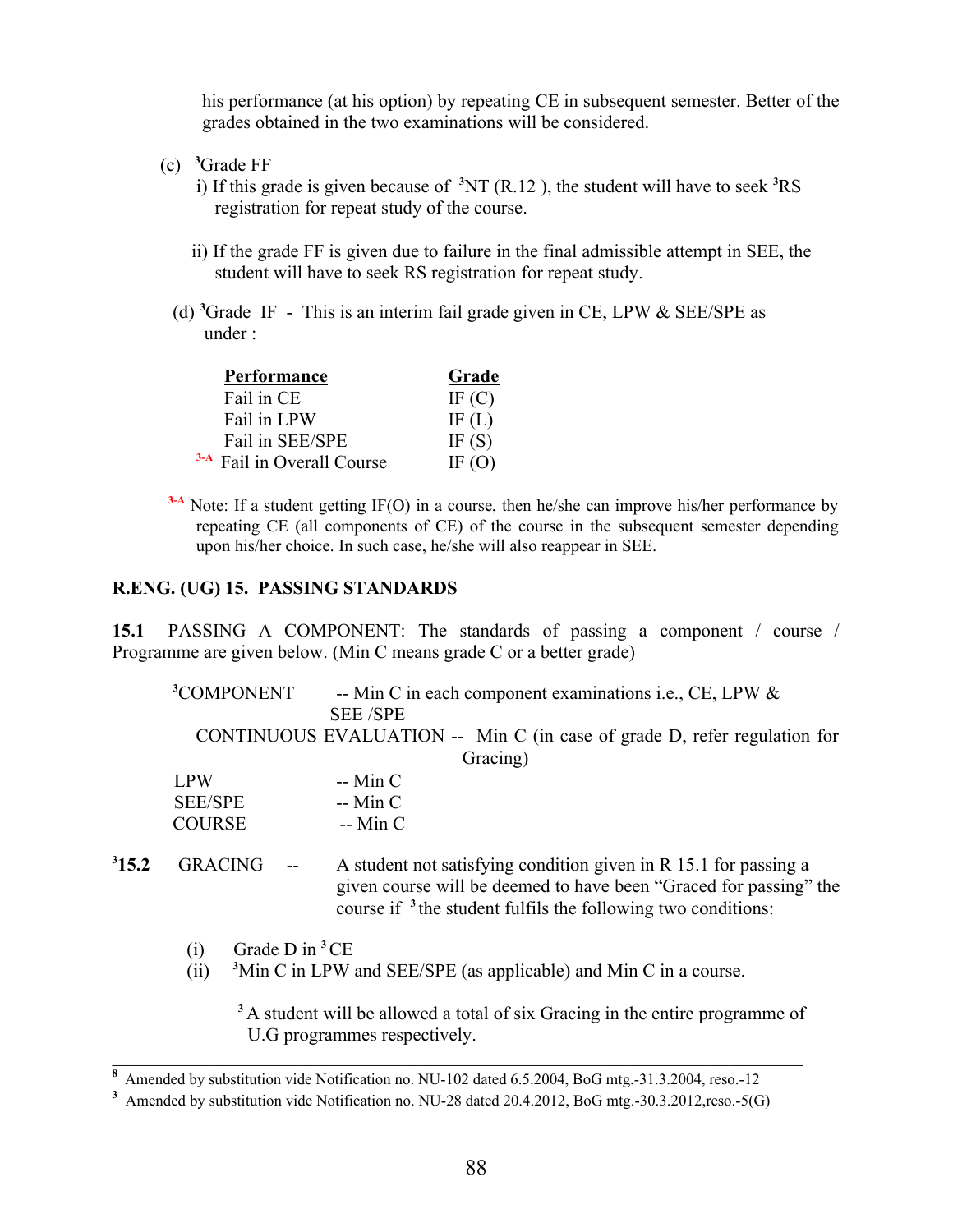his performance (at his option) by repeating CE in subsequent semester. Better of the grades obtained in the two examinations will be considered.

(c) **<sup>3</sup>**Grade FF

 i) If this grade is given because of **<sup>3</sup>**NT (R.12 ), the student will have to seek **<sup>3</sup>**RS registration for repeat study of the course.

- ii) If the grade FF is given due to failure in the final admissible attempt in SEE, the student will have to seek RS registration for repeat study.
- (d)**<sup>3</sup>**Grade IF This is an interim fail grade given in CE, LPW & SEE/SPE as under :

| <b>Performance</b>                    | Grade    |
|---------------------------------------|----------|
| Fail in CE                            | IF $(C)$ |
| Fail in LPW                           | IF $(L)$ |
| Fail in SEE/SPE                       | IF $(S)$ |
| <sup>3-A</sup> Fail in Overall Course | IF $(O)$ |

<sup>3-A</sup> Note: If a student getting IF(O) in a course, then he/she can improve his/her performance by repeating CE (all components of CE) of the course in the subsequent semester depending upon his/her choice. In such case, he/she will also reappear in SEE.

#### **R.ENG. (UG) 15. PASSING STANDARDS**

**15.1** PASSING A COMPONENT: The standards of passing a component / course / Programme are given below. (Min C means grade C or a better grade)

|       | <sup>3</sup> COMPONENT |        | -- Min C in each component examinations i.e., CE, LPW &                  |
|-------|------------------------|--------|--------------------------------------------------------------------------|
|       |                        |        | <b>SEE/SPE</b>                                                           |
|       |                        |        | CONTINUOUS EVALUATION -- Min C (in case of grade D, refer regulation for |
|       |                        |        | Gracing)                                                                 |
|       | <b>LPW</b>             |        | $-$ Min C                                                                |
|       | <b>SEE/SPE</b>         |        | $-$ Min C                                                                |
|       | <b>COURSE</b>          |        | $-$ Min C                                                                |
|       |                        |        |                                                                          |
| 315.2 | <b>GRACING</b>         | $\sim$ | A student not satisfying condition given in R 15.1 for passing a         |
|       |                        |        | given course will be deemed to have been "Graced for passing" the        |
|       |                        |        | course if <sup>3</sup> the student fulfils the following two conditions: |

 $(i)$  Grade D in <sup>3</sup>CE

 $315.2$ 

(ii)  $\frac{3}{2}$ Min C in LPW and SEE/SPE (as applicable) and Min C in a course.

**<sup>3</sup>**A student will be allowed a total of six Gracing in the entire programme of U.G programmes respectively.

**<sup>8</sup>**Amended by substitution vide Notification no. NU-102 dated 6.5.2004, BoG mtg.-31.3.2004, reso.-12

<sup>&</sup>lt;sup>3</sup> Amended by substitution vide Notification no. NU-28 dated 20.4.2012, BoG mtg.-30.3.2012,reso.-5(G)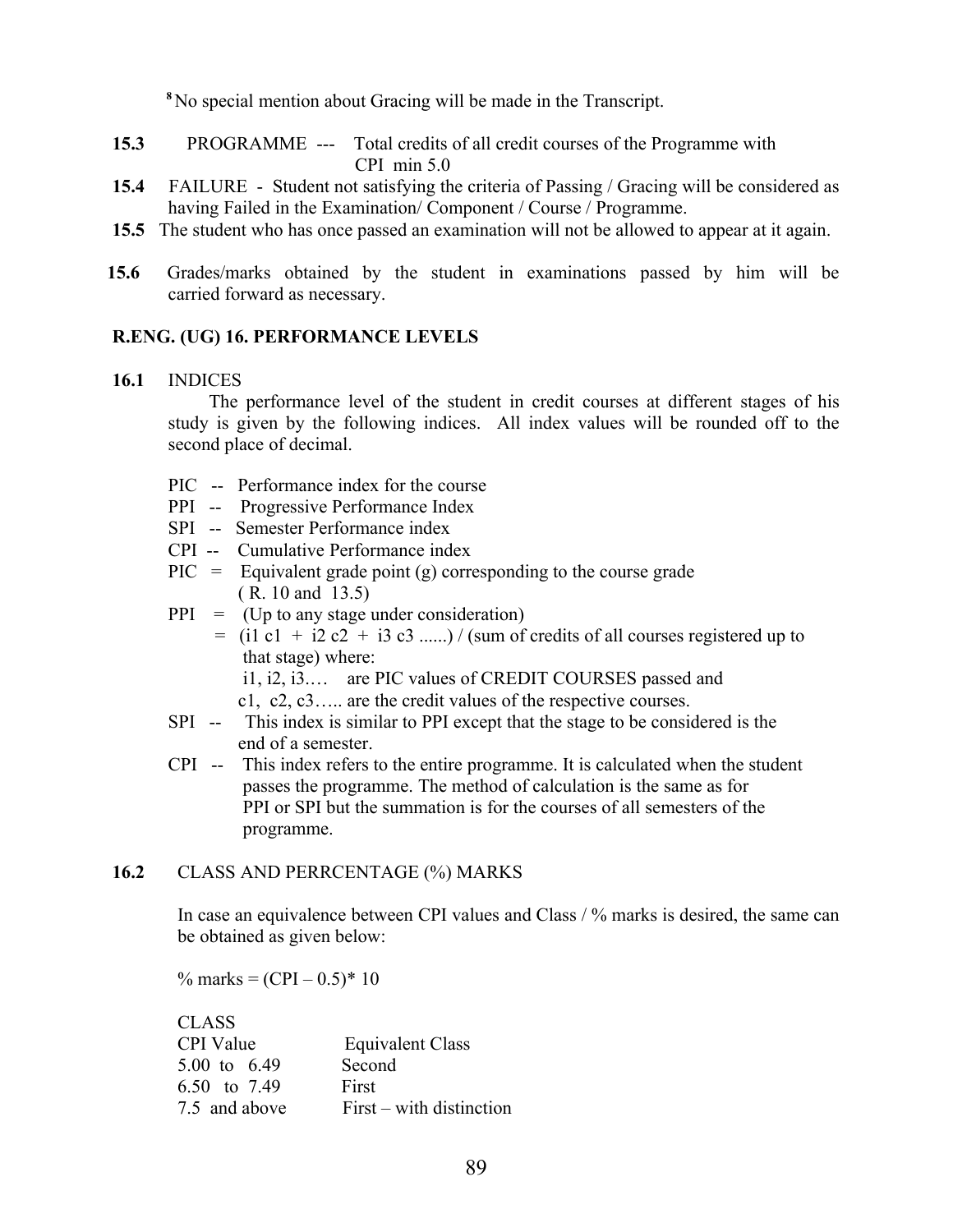**<sup>8</sup>**No special mention about Gracing will be made in the Transcript.

- **15.3** PROGRAMME --- Total credits of all credit courses of the Programme with CPI min 5.0
- **15.4** FAILURE Student not satisfying the criteria of Passing / Gracing will be considered as having Failed in the Examination/ Component / Course / Programme.
- **15.5** The student who has once passed an examination will not be allowed to appear at it again.
- **15.6** Grades/marks obtained by the student in examinations passed by him will be carried forward as necessary.

#### **R.ENG. (UG) 16. PERFORMANCE LEVELS**

#### **16.1** INDICES

 The performance level of the student in credit courses at different stages of his study is given by the following indices. All index values will be rounded off to the second place of decimal.

- PIC -- Performance index for the course
- PPI -- Progressive Performance Index
- SPI -- Semester Performance index
- CPI -- Cumulative Performance index
- $\text{PIC} = \text{Equivalent grade point (g) corresponding to the course grade}$ ( R. 10 and 13.5)
- $PPI = (Up to any stage under consideration)$
- $=$  (i1 c1 + i2 c2 + i3 c3 ......) / (sum of credits of all courses registered up to that stage) where:
	- i1, i2, i3.… are PIC values of CREDIT COURSES passed and
	- c1, c2, c3….. are the credit values of the respective courses.
- SPI -- This index is similar to PPI except that the stage to be considered is the end of a semester.
- CPI -- This index refers to the entire programme. It is calculated when the student passes the programme. The method of calculation is the same as for PPI or SPI but the summation is for the courses of all semesters of the programme.

### **16.2** CLASS AND PERRCENTAGE (%) MARKS

In case an equivalence between CPI values and Class / % marks is desired, the same can be obtained as given below:

% marks =  $(CPI - 0.5)^* 10$ 

| Equivalent Class         |
|--------------------------|
| Second                   |
| First                    |
| First – with distinction |
|                          |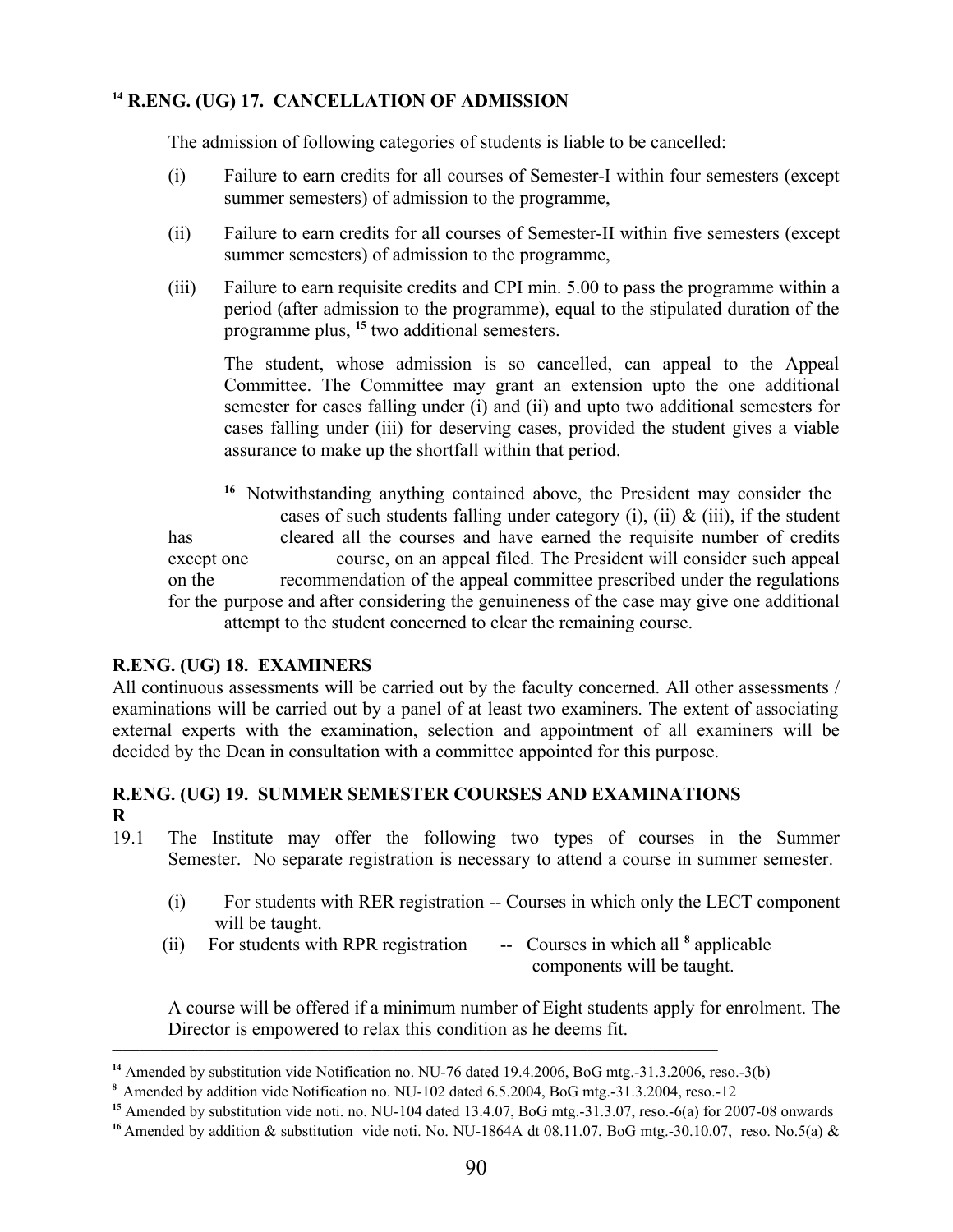### **<sup>14</sup> R.ENG. (UG) 17. CANCELLATION OF ADMISSION**

The admission of following categories of students is liable to be cancelled:

- (i) Failure to earn credits for all courses of Semester-I within four semesters (except summer semesters) of admission to the programme,
- (ii) Failure to earn credits for all courses of Semester-II within five semesters (except summer semesters) of admission to the programme,
- (iii) Failure to earn requisite credits and CPI min. 5.00 to pass the programme within a period (after admission to the programme), equal to the stipulated duration of the programme plus, **<sup>15</sup>** two additional semesters.

The student, whose admission is so cancelled, can appeal to the Appeal Committee. The Committee may grant an extension upto the one additional semester for cases falling under (i) and (ii) and upto two additional semesters for cases falling under (iii) for deserving cases, provided the student gives a viable assurance to make up the shortfall within that period.

<sup>16</sup> Notwithstanding anything contained above, the President may consider the cases of such students falling under category (i), (ii)  $\&$  (iii), if the student has cleared all the courses and have earned the requisite number of credits except one course, on an appeal filed. The President will consider such appeal on the recommendation of the appeal committee prescribed under the regulations for the purpose and after considering the genuineness of the case may give one additional attempt to the student concerned to clear the remaining course.

### **R.ENG. (UG) 18. EXAMINERS**

All continuous assessments will be carried out by the faculty concerned. All other assessments / examinations will be carried out by a panel of at least two examiners. The extent of associating external experts with the examination, selection and appointment of all examiners will be decided by the Dean in consultation with a committee appointed for this purpose.

### **R.ENG. (UG) 19. SUMMER SEMESTER COURSES AND EXAMINATIONS R**

- 19.1 The Institute may offer the following two types of courses in the Summer Semester. No separate registration is necessary to attend a course in summer semester.
	- (i) For students with RER registration -- Courses in which only the LECT component will be taught.
	- $(iii)$  For students with RPR registration -- Courses in which all  $\delta$  applicable components will be taught.

A course will be offered if a minimum number of Eight students apply for enrolment. The Director is empowered to relax this condition as he deems fit.

**\_\_\_\_\_\_\_\_\_\_\_\_\_\_\_\_\_\_\_\_\_\_\_\_\_\_\_\_\_\_\_\_\_\_\_\_\_\_\_\_\_\_\_\_\_\_\_\_\_\_\_\_\_\_\_\_\_\_\_\_\_\_\_\_\_\_\_\_\_\_\_\_\_\_\_\_\_\_\_\_\_\_\_\_\_\_\_\_\_\_\_\_\_\_\_\_\_\_\_\_\_\_\_\_\_\_\_\_\_\_\_\_**

**<sup>14</sup>** Amended by substitution vide Notification no. NU-76 dated 19.4.2006, BoG mtg.-31.3.2006, reso.-3(b)

**<sup>8</sup>**Amended by addition vide Notification no. NU-102 dated 6.5.2004, BoG mtg.-31.3.2004, reso.-12

**<sup>15</sup>** Amended by substitution vide noti. no. NU-104 dated 13.4.07, BoG mtg.-31.3.07, reso.-6(a) for 2007-08 onwards

<sup>&</sup>lt;sup>16</sup> Amended by addition & substitution vide noti. No. NU-1864A dt 08.11.07, BoG mtg.-30.10.07, reso. No.5(a) &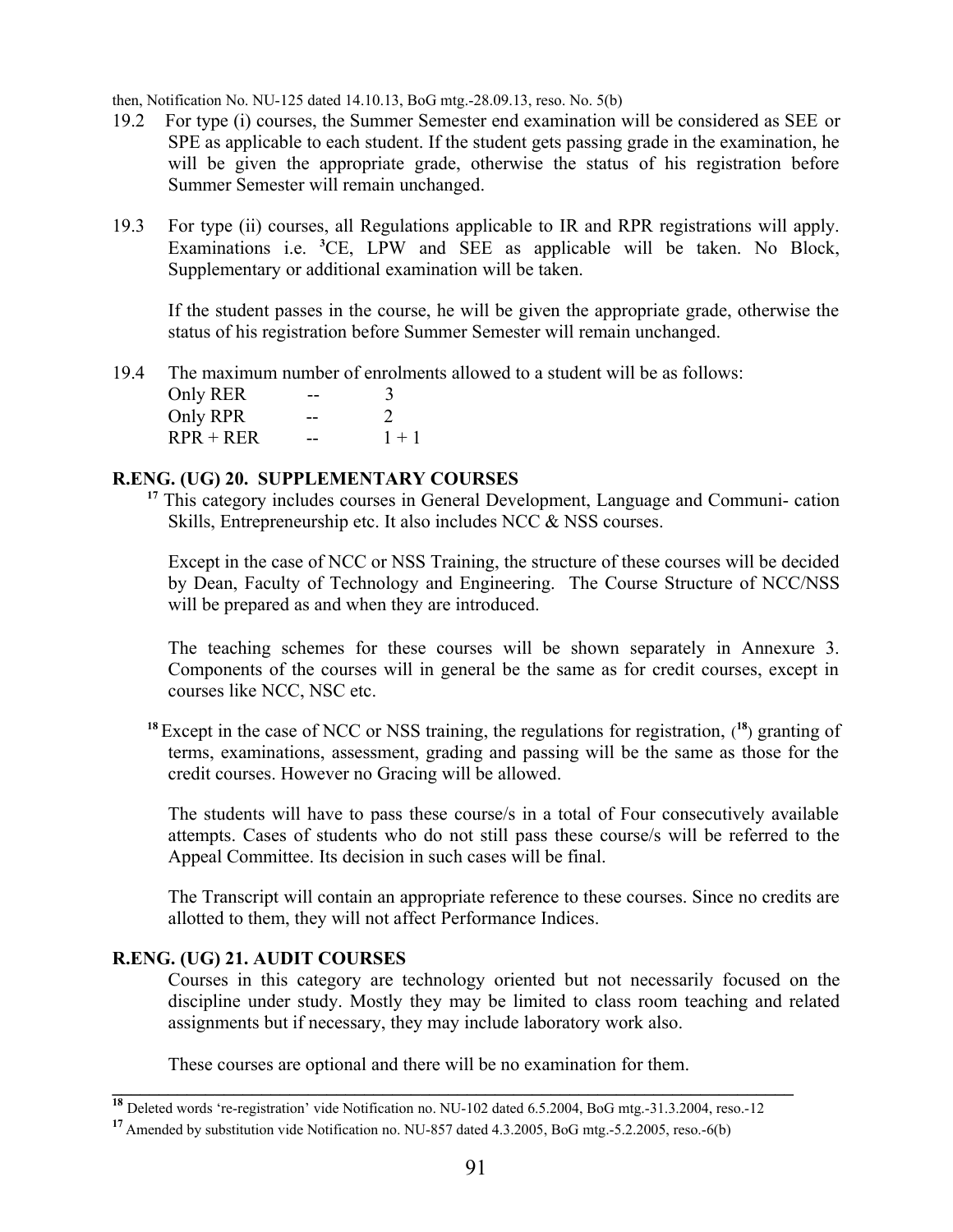then, Notification No. NU-125 dated 14.10.13, BoG mtg.-28.09.13, reso. No. 5(b)

- 19.2 For type (i) courses, the Summer Semester end examination will be considered as SEE or SPE as applicable to each student. If the student gets passing grade in the examination, he will be given the appropriate grade, otherwise the status of his registration before Summer Semester will remain unchanged.
- 19.3 For type (ii) courses, all Regulations applicable to IR and RPR registrations will apply. Examinations i.e. **<sup>3</sup>**CE, LPW and SEE as applicable will be taken. No Block, Supplementary or additional examination will be taken.

If the student passes in the course, he will be given the appropriate grade, otherwise the status of his registration before Summer Semester will remain unchanged.

19.4The maximum number of enrolments allowed to a student will be as follows:

Only RER -- 3 Only RPR -- 2  $RPR + RER$  -- 1+1

### **R.ENG. (UG) 20. SUPPLEMENTARY COURSES**

<sup>17</sup> This category includes courses in General Development, Language and Communi- cation Skills, Entrepreneurship etc. It also includes NCC & NSS courses.

Except in the case of NCC or NSS Training, the structure of these courses will be decided by Dean, Faculty of Technology and Engineering. The Course Structure of NCC/NSS will be prepared as and when they are introduced.

The teaching schemes for these courses will be shown separately in Annexure 3. Components of the courses will in general be the same as for credit courses, except in courses like NCC, NSC etc.

**<sup>18</sup>**Except in the case of NCC or NSS training, the regulations for registration, ( **<sup>18</sup>**) granting of terms, examinations, assessment, grading and passing will be the same as those for the credit courses. However no Gracing will be allowed.

The students will have to pass these course/s in a total of Four consecutively available attempts. Cases of students who do not still pass these course/s will be referred to the Appeal Committee. Its decision in such cases will be final.

The Transcript will contain an appropriate reference to these courses. Since no credits are allotted to them, they will not affect Performance Indices.

### **R.ENG. (UG) 21. AUDIT COURSES**

Courses in this category are technology oriented but not necessarily focused on the discipline under study. Mostly they may be limited to class room teaching and related assignments but if necessary, they may include laboratory work also.

These courses are optional and there will be no examination for them.

 $\mathcal{L}_\mathcal{L} = \{ \mathcal{L}_\mathcal{L} = \{ \mathcal{L}_\mathcal{L} = \{ \mathcal{L}_\mathcal{L} = \{ \mathcal{L}_\mathcal{L} = \{ \mathcal{L}_\mathcal{L} = \{ \mathcal{L}_\mathcal{L} = \{ \mathcal{L}_\mathcal{L} = \{ \mathcal{L}_\mathcal{L} = \{ \mathcal{L}_\mathcal{L} = \{ \mathcal{L}_\mathcal{L} = \{ \mathcal{L}_\mathcal{L} = \{ \mathcal{L}_\mathcal{L} = \{ \mathcal{L}_\mathcal{L} = \{ \mathcal{L}_\mathcal{$ 

**<sup>18</sup>** Deleted words 're-registration' vide Notification no. NU-102 dated 6.5.2004, BoG mtg.-31.3.2004, reso.-12

**<sup>17</sup>**Amended by substitution vide Notification no. NU-857 dated 4.3.2005, BoG mtg.-5.2.2005, reso.-6(b)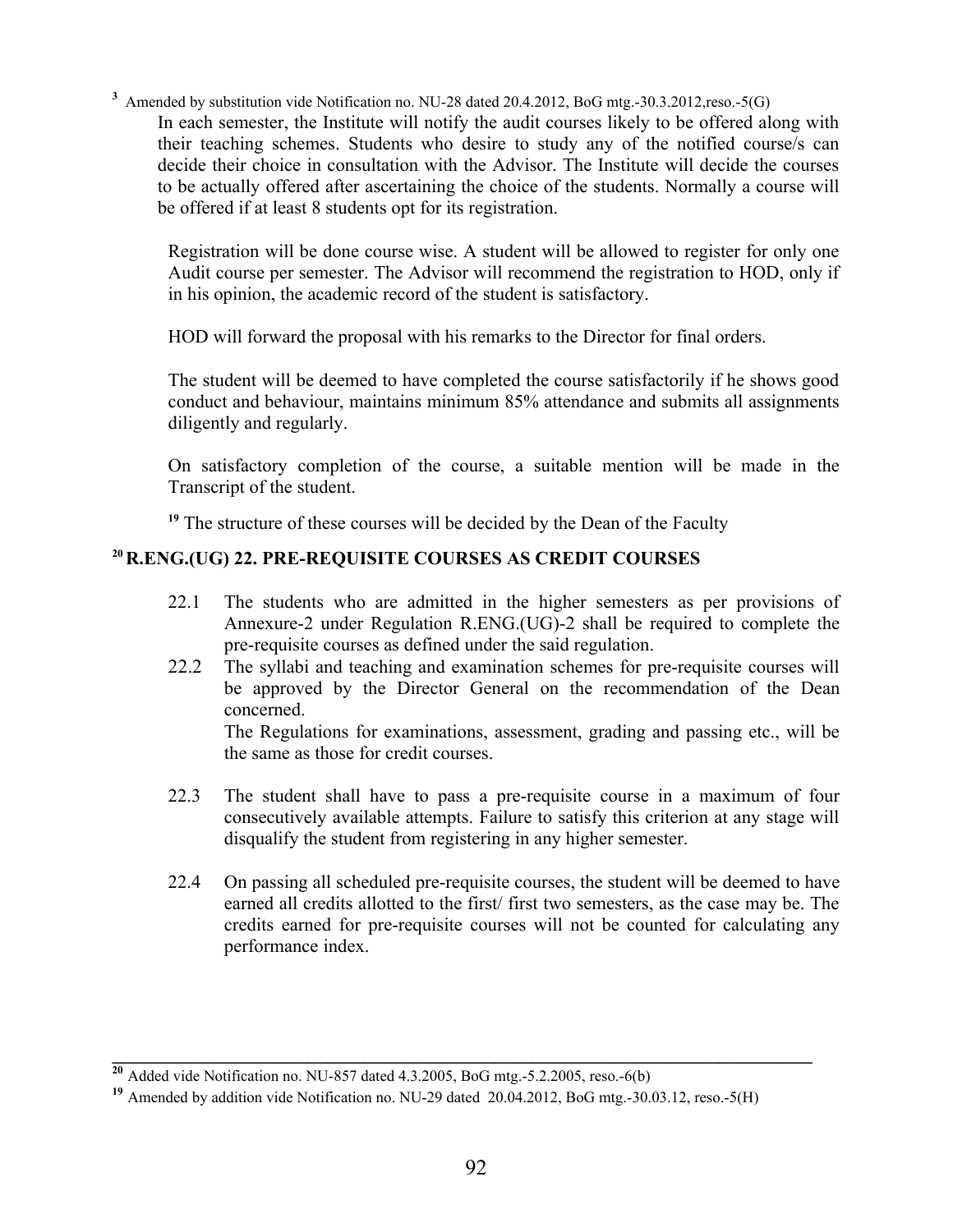<sup>3</sup> Amended by substitution vide Notification no. NU-28 dated 20.4.2012, BoG mtg.-30.3.2012,reso.-5(G)

In each semester, the Institute will notify the audit courses likely to be offered along with their teaching schemes. Students who desire to study any of the notified course/s can decide their choice in consultation with the Advisor. The Institute will decide the courses to be actually offered after ascertaining the choice of the students. Normally a course will be offered if at least 8 students opt for its registration.

Registration will be done course wise. A student will be allowed to register for only one Audit course per semester. The Advisor will recommend the registration to HOD, only if in his opinion, the academic record of the student is satisfactory.

HOD will forward the proposal with his remarks to the Director for final orders.

The student will be deemed to have completed the course satisfactorily if he shows good conduct and behaviour, maintains minimum 85% attendance and submits all assignments diligently and regularly.

On satisfactory completion of the course, a suitable mention will be made in the Transcript of the student.

<sup>19</sup> The structure of these courses will be decided by the Dean of the Faculty

# **<sup>20</sup>R.ENG.(UG) 22. PRE-REQUISITE COURSES AS CREDIT COURSES**

- 22.1 The students who are admitted in the higher semesters as per provisions of Annexure-2 under Regulation R.ENG.(UG)-2 shall be required to complete the pre-requisite courses as defined under the said regulation.
- 22.2 The syllabi and teaching and examination schemes for pre-requisite courses will be approved by the Director General on the recommendation of the Dean concerned.

The Regulations for examinations, assessment, grading and passing etc., will be the same as those for credit courses.

- 22.3 The student shall have to pass a pre-requisite course in a maximum of four consecutively available attempts. Failure to satisfy this criterion at any stage will disqualify the student from registering in any higher semester.
- 22.4 On passing all scheduled pre-requisite courses, the student will be deemed to have earned all credits allotted to the first/ first two semesters, as the case may be. The credits earned for pre-requisite courses will not be counted for calculating any performance index.

 $\mathcal{L} = \{ \mathcal{L} \mathcal{L} \mathcal{L} \mathcal{L} \mathcal{L} \mathcal{L} \mathcal{L} \mathcal{L} \mathcal{L} \mathcal{L} \mathcal{L} \mathcal{L} \mathcal{L} \mathcal{L} \mathcal{L} \mathcal{L} \mathcal{L} \mathcal{L} \mathcal{L} \mathcal{L} \mathcal{L} \mathcal{L} \mathcal{L} \mathcal{L} \mathcal{L} \mathcal{L} \mathcal{L} \mathcal{L} \mathcal{L} \mathcal{L} \mathcal{L} \mathcal{L} \mathcal{L} \mathcal{L} \mathcal{L} \$ 

**<sup>20</sup>** Added vide Notification no. NU-857 dated 4.3.2005, BoG mtg.-5.2.2005, reso.-6(b)

**<sup>19</sup>** Amended by addition vide Notification no. NU-29 dated 20.04.2012, BoG mtg.-30.03.12, reso.-5(H)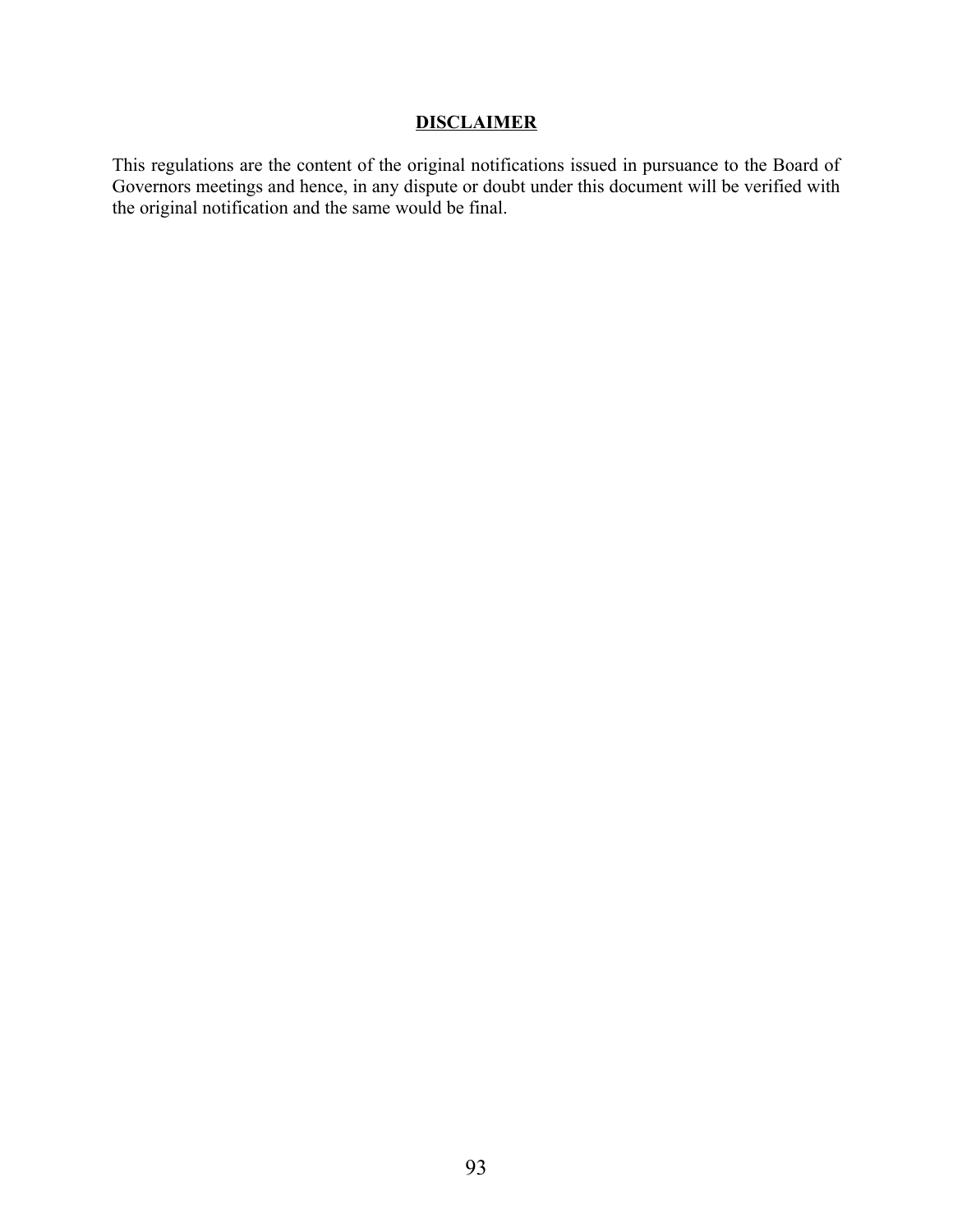# **DISCLAIMER**

This regulations are the content of the original notifications issued in pursuance to the Board of Governors meetings and hence, in any dispute or doubt under this document will be verified with the original notification and the same would be final.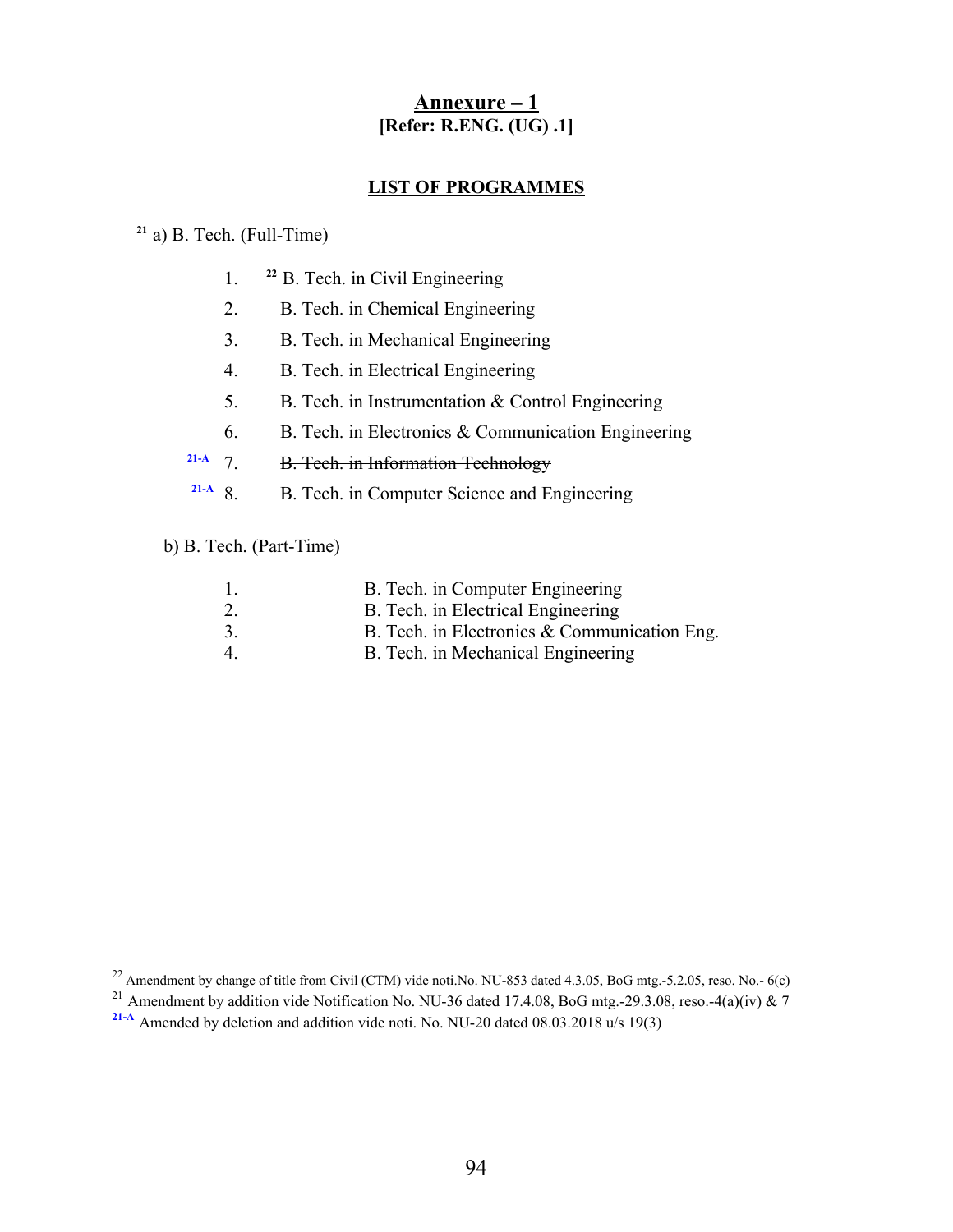# **Annexure – 1 [Refer: R.ENG. (UG) .1]**

### **LIST OF PROGRAMMES**

# **<sup>21</sup>** a) B. Tech. (Full-Time)

- 1. **<sup>22</sup>** B. Tech. in Civil Engineering
- 2. B. Tech. in Chemical Engineering
- 3. B. Tech. in Mechanical Engineering
- 4. B. Tech. in Electrical Engineering
- 5. B. Tech. in Instrumentation & Control Engineering
- 6. B. Tech. in Electronics & Communication Engineering
- **21-A** 7. B. Tech. in Information Technology
- **21-A** 8. B. Tech. in Computer Science and Engineering

b) B. Tech. (Part-Time)

|                | B. Tech. in Computer Engineering             |
|----------------|----------------------------------------------|
| 2.             | B. Tech. in Electrical Engineering           |
| 3.             | B. Tech. in Electronics & Communication Eng. |
| $\overline{4}$ | B. Tech. in Mechanical Engineering           |

**\_\_\_\_\_\_\_\_\_\_\_\_\_\_\_\_\_\_\_\_\_\_\_\_\_\_\_\_\_\_\_\_\_\_\_\_\_\_\_\_\_\_\_\_\_\_\_\_\_\_\_\_\_\_\_\_\_\_\_\_\_\_\_\_\_\_\_\_\_\_\_\_\_\_\_\_\_\_\_\_\_\_\_\_\_\_\_\_\_\_\_\_\_\_\_\_\_\_\_\_\_\_\_\_\_\_\_\_\_\_\_\_**

 $^{22}$  Amendment by change of title from Civil (CTM) vide noti.No. NU-853 dated 4.3.05, BoG mtg.-5.2.05, reso. No.- 6(c)

<sup>&</sup>lt;sup>21</sup> Amendment by addition vide Notification No. NU-36 dated 17.4.08, BoG mtg.-29.3.08, reso.-4(a)(iv) & 7

**<sup>21-</sup>A** Amended by deletion and addition vide noti. No. NU-20 dated 08.03.2018 u/s 19(3)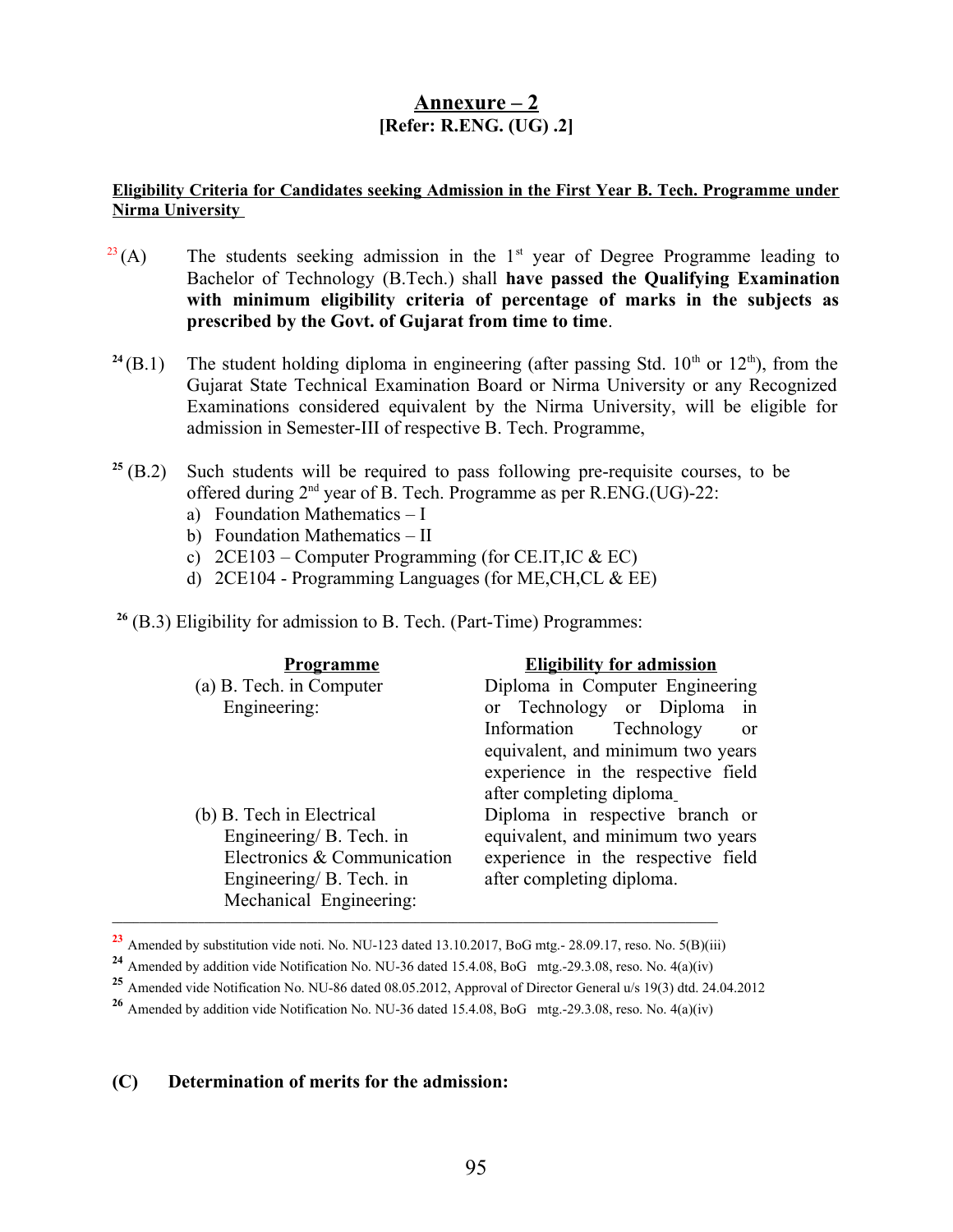# **Annexure – 2 [Refer: R.ENG. (UG) .2]**

### **Eligibility Criteria for Candidates seeking Admission in the First Year B. Tech. Programme under Nirma University**

- $^{23}(A)$  The students seeking admission in the 1<sup>st</sup> year of Degree Programme leading to Bachelor of Technology (B.Tech.) shall **have passed the Qualifying Examination with minimum eligibility criteria of percentage of marks in the subjects as prescribed by the Govt. of Gujarat from time to time**.
- <sup>24</sup>(B.1) The student holding diploma in engineering (after passing Std.  $10<sup>th</sup>$  or  $12<sup>th</sup>$ ), from the Gujarat State Technical Examination Board or Nirma University or any Recognized Examinations considered equivalent by the Nirma University, will be eligible for admission in Semester-III of respective B. Tech. Programme,
- $25$  (B.2) Such students will be required to pass following pre-requisite courses, to be offered during 2<sup>nd</sup> year of B. Tech. Programme as per R.ENG.(UG)-22:
	- a) Foundation Mathematics I
	- b) Foundation Mathematics II
	- c)  $2CE103$  Computer Programming (for CE.IT, IC & EC)
	- d) 2CE104 Programming Languages (for ME,CH,CL & EE)

**<sup>26</sup>** (B.3) Eligibility for admission to B. Tech. (Part-Time) Programmes:

| <u>Programme</u>            | <b>Eligibility for admission</b>           |
|-----------------------------|--------------------------------------------|
| (a) B. Tech. in Computer    | Diploma in Computer Engineering            |
| Engineering:                | or Technology or Diploma in                |
|                             | Technology<br>Information<br><sub>or</sub> |
|                             | equivalent, and minimum two years          |
|                             | experience in the respective field         |
|                             | after completing diploma_                  |
| (b) B. Tech in Electrical   | Diploma in respective branch or            |
| Engineering/ B. Tech. in    | equivalent, and minimum two years          |
| Electronics & Communication | experience in the respective field         |
| Engineering/ B. Tech. in    | after completing diploma.                  |
| Mechanical Engineering:     |                                            |

**<sup>23</sup>** Amended by substitution vide noti. No. NU-123 dated 13.10.2017, BoG mtg.- 28.09.17, reso. No. 5(B)(iii)

### **(C) Determination of merits for the admission:**

**<sup>24</sup>** Amended by addition vide Notification No. NU-36 dated 15.4.08, BoG mtg.-29.3.08, reso. No. 4(a)(iv)

**<sup>25</sup>** Amended vide Notification No. NU-86 dated 08.05.2012, Approval of Director General u/s 19(3) dtd. 24.04.2012

**<sup>26</sup>** Amended by addition vide Notification No. NU-36 dated 15.4.08, BoG mtg.-29.3.08, reso. No. 4(a)(iv)